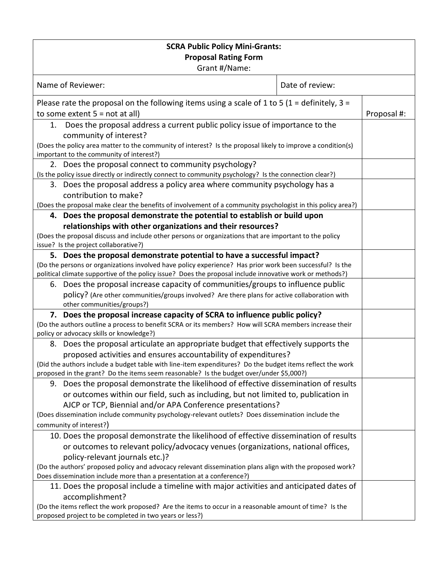| <b>SCRA Public Policy Mini-Grants:</b>                                                                                                                                                                               |                                                                                  |             |
|----------------------------------------------------------------------------------------------------------------------------------------------------------------------------------------------------------------------|----------------------------------------------------------------------------------|-------------|
| <b>Proposal Rating Form</b><br>Grant #/Name:                                                                                                                                                                         |                                                                                  |             |
|                                                                                                                                                                                                                      |                                                                                  |             |
| Name of Reviewer:                                                                                                                                                                                                    | Date of review:                                                                  |             |
| Please rate the proposal on the following items using a scale of 1 to 5 (1 = definitely, 3 =                                                                                                                         |                                                                                  |             |
| to some extent $5 = not at all$                                                                                                                                                                                      |                                                                                  | Proposal #: |
| Does the proposal address a current public policy issue of importance to the<br>1.                                                                                                                                   |                                                                                  |             |
| community of interest?                                                                                                                                                                                               |                                                                                  |             |
| (Does the policy area matter to the community of interest? Is the proposal likely to improve a condition(s)                                                                                                          |                                                                                  |             |
| important to the community of interest?)                                                                                                                                                                             |                                                                                  |             |
| 2. Does the proposal connect to community psychology?                                                                                                                                                                |                                                                                  |             |
| (Is the policy issue directly or indirectly connect to community psychology? Is the connection clear?)                                                                                                               |                                                                                  |             |
| 3. Does the proposal address a policy area where community psychology has a                                                                                                                                          |                                                                                  |             |
| contribution to make?                                                                                                                                                                                                |                                                                                  |             |
| (Does the proposal make clear the benefits of involvement of a community psychologist in this policy area?)                                                                                                          |                                                                                  |             |
| 4. Does the proposal demonstrate the potential to establish or build upon                                                                                                                                            |                                                                                  |             |
| relationships with other organizations and their resources?                                                                                                                                                          |                                                                                  |             |
| (Does the proposal discuss and include other persons or organizations that are important to the policy                                                                                                               |                                                                                  |             |
| issue? Is the project collaborative?)                                                                                                                                                                                |                                                                                  |             |
| 5. Does the proposal demonstrate potential to have a successful impact?                                                                                                                                              |                                                                                  |             |
| (Do the persons or organizations involved have policy experience? Has prior work been successful? Is the<br>political climate supportive of the policy issue? Does the proposal include innovative work or methods?) |                                                                                  |             |
| 6. Does the proposal increase capacity of communities/groups to influence public                                                                                                                                     |                                                                                  |             |
| policy? (Are other communities/groups involved? Are there plans for active collaboration with                                                                                                                        |                                                                                  |             |
| other communities/groups?)                                                                                                                                                                                           |                                                                                  |             |
| 7. Does the proposal increase capacity of SCRA to influence public policy?                                                                                                                                           |                                                                                  |             |
| (Do the authors outline a process to benefit SCRA or its members? How will SCRA members increase their                                                                                                               |                                                                                  |             |
| policy or advocacy skills or knowledge?)                                                                                                                                                                             |                                                                                  |             |
| 8. Does the proposal articulate an appropriate budget that effectively supports the                                                                                                                                  |                                                                                  |             |
| proposed activities and ensures accountability of expenditures?                                                                                                                                                      |                                                                                  |             |
| (Did the authors include a budget table with line-item expenditures? Do the budget items reflect the work                                                                                                            |                                                                                  |             |
| proposed in the grant? Do the items seem reasonable? Is the budget over/under \$5,000?)                                                                                                                              |                                                                                  |             |
| 9. Does the proposal demonstrate the likelihood of effective dissemination of results                                                                                                                                |                                                                                  |             |
| or outcomes within our field, such as including, but not limited to, publication in                                                                                                                                  |                                                                                  |             |
| AJCP or TCP, Biennial and/or APA Conference presentations?                                                                                                                                                           |                                                                                  |             |
| (Does dissemination include community psychology-relevant outlets? Does dissemination include the                                                                                                                    |                                                                                  |             |
| community of interest?)                                                                                                                                                                                              |                                                                                  |             |
| 10. Does the proposal demonstrate the likelihood of effective dissemination of results                                                                                                                               |                                                                                  |             |
|                                                                                                                                                                                                                      | or outcomes to relevant policy/advocacy venues (organizations, national offices, |             |
| policy-relevant journals etc.)?                                                                                                                                                                                      |                                                                                  |             |
| (Do the authors' proposed policy and advocacy relevant dissemination plans align with the proposed work?                                                                                                             |                                                                                  |             |
| Does dissemination include more than a presentation at a conference?)                                                                                                                                                |                                                                                  |             |
| 11. Does the proposal include a timeline with major activities and anticipated dates of                                                                                                                              |                                                                                  |             |
| accomplishment?<br>(Do the items reflect the work proposed? Are the items to occur in a reasonable amount of time? Is the                                                                                            |                                                                                  |             |
| proposed project to be completed in two years or less?)                                                                                                                                                              |                                                                                  |             |